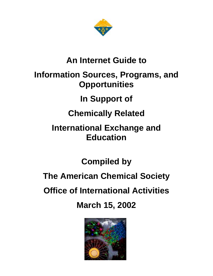

# **An Internet Guide to Information Sources, Programs, and Opportunities**

# **In Support of**

# **Chemically Related**

# **International Exchange and Education**

# **Compiled by**

# **The American Chemical Society**

# **Office of International Activities**

**March 15, 2002**

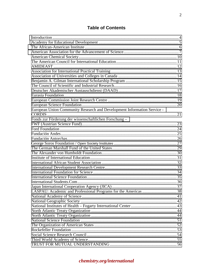## **Table of Contents**

| European Union Community Research and Development Information Service - |     |
|-------------------------------------------------------------------------|-----|
|                                                                         |     |
| Fonds zur Förderung der wissenschaftlichen Forschung-                   |     |
|                                                                         |     |
|                                                                         |     |
|                                                                         |     |
|                                                                         |     |
|                                                                         |     |
|                                                                         |     |
|                                                                         |     |
|                                                                         |     |
|                                                                         |     |
|                                                                         |     |
|                                                                         |     |
|                                                                         |     |
|                                                                         |     |
|                                                                         |     |
| LASPAU: Academic and Professional Programs for the Americas             | .38 |
|                                                                         |     |
|                                                                         |     |
|                                                                         |     |
|                                                                         |     |
|                                                                         |     |
|                                                                         |     |
|                                                                         |     |
|                                                                         |     |
|                                                                         |     |
|                                                                         |     |
|                                                                         |     |
|                                                                         |     |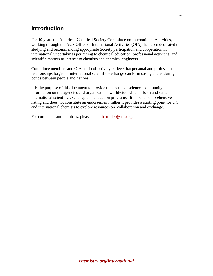### <span id="page-3-0"></span>**Introduction**

For 40 years the American Chemical Society Committee on International Activities, working through the ACS Office of International Activities (OIA), has been dedicated to studying and recommending appropriate Society participation and cooperation in international undertakings pertaining to chemical education, professional activities, and scientific matters of interest to chemists and chemical engineers.

Committee members and OIA staff collectively believe that personal and professional relationships forged in international scientific exchange can form strong and enduring bonds between people and nations.

It is the purpose of this document to provide the chemical sciences community information on the agencies and organizations worldwide which inform and sustain international scientific exchange and education programs. It is not a comprehensive listing and does not constitute an endorsement; rather it provides a starting point for U.S. and international chemists to explore resources on collaboration and exchange.

For comments and inquiries, please email **b\_miller@acs.org.**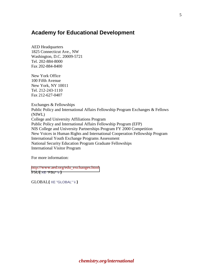### <span id="page-4-0"></span>**Academy for Educational Development**

AED Headquarters 1825 Connecticut Ave., NW Washington, D.C. 20009-5721 Tel. 202-884-8000 Fax 202-884-8400

New York Office 100 Fifth Avenue New York, NY 10011 Tel. 212-243-1110 Fax 212-627-0407

Exchanges & Fellowships Public Policy and International Affairs Fellowship Program Exchanges & Fellows (NIWL) College and University Affiliations Program Public Policy and International Affairs Fellowship Program (EFP) NIS College and University Partnerships Program FY 2000 Competition New Voices in Human Rights and International Cooperation Fellowship Program International Youth Exchange Programs Assessment National Security Education Program Graduate Fellowships International Visitor Program

For more information:

[http://www.aed.org/edu\\_exchanges.html](http://www.aed.org/edu_exchanges.html)  FSU**{** XE "FSU" \i **}**

GLOBAL**{** XE "GLOBAL" \i **}**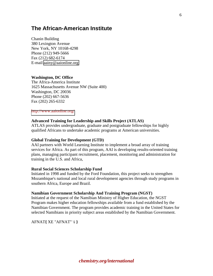### <span id="page-5-0"></span>**The African-American Institute**

Chanin Building 380 Lexington Avenue New York, NY 10168-4298 Phone (212) 949-5666 Fax (212) 682-6174 E-mail [aainy@aaionline.org](mailto:aainy@aaionline.org) 

#### **Washington, DC Office**

The Africa-America Institute 1625 Massachusetts Avenue NW (Suite 400) Washington, DC 20036 Phone (202) 667-5636 Fax (202) 265-6332

#### <http://www.aaionline.org/>

#### **Advanced Training for Leadership and Skills Project (ATLAS)**

ATLAS provides undergraduate, graduate and postgraduate fellowships for highly qualified Africans to undertake academic programs at American universities.

#### **Global Training for Development (GTD)**

AAI partners with World Learning Institute to implement a broad array of training services for Africa. As part of this program, AAI is developing results-oriented training plans, managing participant recruitment, placement, monitoring and administration for training in the U.S. and Africa,

#### **Rural Social Sciences Scholarship Fund**

Initiated in 1998 and funded by the Ford Foundation, this project seeks to strengthen Mozambique's national and local rural development agencies through study programs in southern Africa, Europe and Brazil.

#### **Namibian Government Scholarship And Training Program (NGST)**

Initiated at the request of the Namibian Ministry of Higher Education, the NGST Program makes higher education fellowships available from a fund established by the Namibian Government. The program provides academic training in the United States for selected Namibians in priority subject areas established by the Namibian Government.

AFNAT**{** XE "AFNAT" \i **}**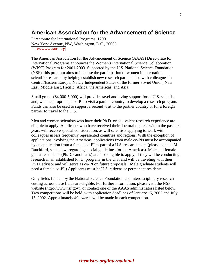### <span id="page-6-0"></span>**American Association for the Advancement of Science**

Directorate for International Programs, 1200 New York Avenue, NW, Washington, D.C., 20005 [http://www.aaas.org](http://www.aaas.org/) 

The American Association for the Advancement of Science (AAAS) Directorate for International Programs announces the Women's International Science Collaboration (WISC) Program for 2001-2003. Supported by the U.S. National Science Foundation (NSF), this program aims to increase the participation of women in international scientific research by helping establish new research partnerships with colleagues in Central/Eastern Europe, Newly Independent States of the former Soviet Union, Near East, Middle East, Pacific, Africa, the Americas, and Asia.

Small grants (\$4,000-5,000) will provide travel and living support for a U.S. scientist and, when appropriate, a co-PI to visit a partner country to develop a research program. Funds can also be used to support a second visit to the partner country or for a foreign partner to travel to the U.S.

Men and women scientists who have their Ph.D. or equivalent research experience are eligible to apply. Applicants who have received their doctoral degrees within the past six years will receive special consideration, as will scientists applying to work with colleagues in less frequently represented countries and regions. With the exception of applications involving the Americas, applications from male co-PIs must be accompanied by an application from a female co-PI as part of a U.S. research team (please contact M. Ratchford, see below, regarding special guidelines for the Americas). Male and female graduate students (Ph.D. candidates) are also eligible to apply, if they will be conducting research in an established Ph.D. program in the U.S. and will be traveling with their Ph.D. advisor and will serve as co-PI on future proposals. (Male graduate students will need a female co-PI.) Applicants must be U.S. citizens or permanent residents.

Only fields funded by the National Science Foundation and interdisciplinary research cutting across these fields are eligible. For further information, please visit the NSF website (http://www.nsf.gov), or contact one of the AAAS administrators listed below. Two competitions will be held, with application deadlines of January 15, 2002 and July 15, 2002. Approximately 40 awards will be made in each competition.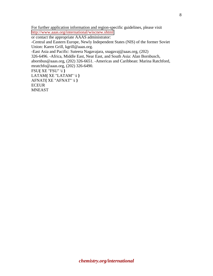For further application information and region-specific guidelines, please visit <http://www.aaas.org/international/wiscnew.shtml>

or contact the appropriate AAAS administrator:

-Central and Eastern Europe, Newly Independent States (NIS) of the former Soviet Union: Karen Grill, kgrill@aaas.org.

-East Asia and Pacific: Suteera Nagavajara, snagavaj@aaas.org, (202)

326-6496. -Africa, Middle East, Near East, and South Asia: Alan Bornbusch, abornbus@aaas.org, (202) 326-6651. -Americas and Caribbean: Marina Ratchford, mratchfo@aaas.org, (202) 326-6490. FSU**{** XE "FSU" \i **}**

LATAM**{** XE "LATAM" \i **}** AFNAT**{** XE "AFNAT" \i **}** ECEUR MNEAST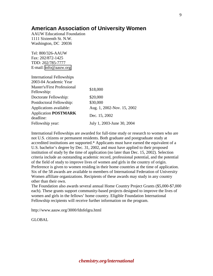### **American Association of University Women**

AAUW Educational Foundation 1111 Sixteenth St. N.W. Washington, DC 20036

Tel: 800/326-AAUW Fax: 202/872-1425 TDD: 202/785-7777 E-mail: [info@aauw.org](mailto:info@aauw.org) 

| <b>International Fellowships</b>                  |                            |
|---------------------------------------------------|----------------------------|
| 2003-04 Academic Year                             |                            |
| <b>Master's/First Professional</b><br>Fellowship: | \$18,000                   |
| Doctorate Fellowship:                             | \$20,000                   |
| Postdoctoral Fellowship:                          | \$30,000                   |
| Applications available:                           | Aug. 1, 2002-Nov. 15, 2002 |
| <b>Application POSTMARK</b><br>deadline:          | Dec. 15, 2002              |
| Fellowship year:                                  | July 1, 2003-June 30, 2004 |

International Fellowships are awarded for full-time study or research to women who are not U.S. citizens or permanent residents. Both graduate and postgraduate study at accredited institutions are supported.\* Applicants must have earned the equivalent of a U.S. bachelor's degree by Dec. 31, 2002, and must have applied to their proposed institution of study by the time of application (no later than Dec. 15, 2002). Selection criteria include an outstanding academic record, professional potential, and the potential of the field of study to improve lives of women and girls in the country of origin. Preference is given to women residing in their home countries at the time of application. Six of the 58 awards are available to members of International Federation of University Women affiliate organizations. Recipients of these awards may study in any country other than their own.

The Foundation also awards several annual Home Country Project Grants (\$5,000-\$7,000 each). These grants support community-based projects designed to improve the lives of women and girls in the fellows' home country. Eligible Foundation International Fellowship recipients will receive further information on the program.

http://www.aauw.org/3000/fdnfelgra.html

GLOBAL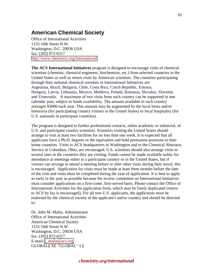### <span id="page-9-0"></span>**American Chemical Society**

Office of International Activities 1155 16th Street N.W. Washington, D.C. 20036 USA fax: (202) 872-6317 <http://www.chemistry.org/international>

**The ACS International Initiatives** program is designed to encourage visits of chemical scientists (chemists, chemical engineers, biochemists, etc.) from selected countries to the United States as well as return visits by American scientists. The countries participating through their national chemical societies in International Initiatives are: Argentina, Brazil, Bulgaria, Chile, Costa Rica, Czech Republic, Estonia, Hungary, Latvia, Lithuania, Mexico, Moldova, Poland, Romania, Slovakia, Slovenia and Venezuela. A maximum of two visits from each country can be supported in one calendar year, subject to funds availability. The amount available to each country averages \$3000 each year. This amount may be augmented by the local hosts and/or honoraria (for participating country visitors to the United States) or local hospitality (for U.S. nationals in participant countries).

The program is designed to further professional contacts, either academic or industrial, of U.S. and participant country scientists. Scientists visiting the United States should arrange to visit at least two facilities for no less than one week. It is expected that all applicants have a Ph.D. degrees or the equivalent and hold permanent positions in their home countries. Visits to ACS headquarters in Washington and to the Chemical Abstracts Service in Columbus, Ohio, are encouraged. U.S. scientists should also arrange visits to several sites in the countries they are visiting. Funds cannot be made available solely for attendance at meetings either in a participant country or in the United States, but if visitors can arrange to attend a meeting before or after other visits during their travel, this is encouraged. Application for visits must be made at least three months before the date of the visit and visits must be completed during the year of application. It is best to apply as early in the year as possible because the review committee on International Initiatives must consider applications on a first-come, first-served basis. Please contact the Office of International Activities for the application form, which may be freely duplicated (return to ACS by fax is encouraged). For all non-U.S. applicants, the application must be endorsed by the chemical society of the applicant's native country and should be directed to:

Dr. John M. Malin, Administrator Office of International Activities American Chemical Society 1155 16th Street N.W. Washington, D.C. 20036 USA fax: (202) 872-6317 E-mail:  $i$  malin@acs.org GLOBAL**{** XE "GLOBAL" \i **}**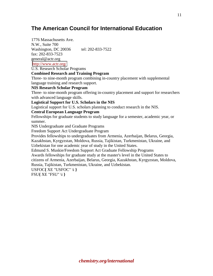## <span id="page-10-0"></span>**The American Council for International Education**

1776 Massachusetts Ave. N.W., Suite 700 Washington, DC 20036 tel: 202-833-7522 fax: 202-833-7523 general@actr.org <http://www.actr.org/>

U.S. Research Scholar Programs

### **Combined Research and Training Program**

Three- to nine-month program combining in-country placement with supplemental language training and research support.

#### **NIS Research Scholar Program**

Three- to nine-month program offering in-country placement and support for researchers with advanced language skills.

**Logistical Support for U.S. Scholars in the NIS** 

Logistical support for U.S. scholars planning to conduct research in the NIS.

#### **Central European Language Program**

Fellowships for graduate students to study language for a semester, academic year, or summer.

NIS Undergraduate and Graduate Programs

Freedom Support Act Undergraduate Program

Provides fellowships to undergraduates from Armenia, Azerbaijan, Belarus, Georgia, Kazakhstan, Kyrgyzstan, Moldova, Russia, Tajikistan, Turkmenistan, Ukraine, and Uzbekistan for one academic year of study in the United States.

Edmund S. Muskie/Freedom Support Act Graduate Fellowship Programs

Awards fellowships for graduate study at the master's level in the United States to citizens of Armenia, Azerbaijan, Belarus, Georgia, Kazakhstan, Kyrgyzstan, Moldova, Russia, Tajikistan, Turkmenistan, Ukraine, and Uzbekistan.

USFOC**{** XE "USFOC" \i **}** FSU**{** XE "FSU" \i **}**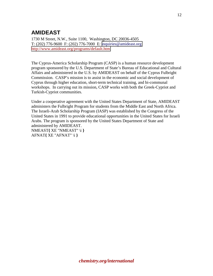# <span id="page-11-0"></span>**AMIDEAST**

1730 M Street, N.W., Suite 1100, Washington, DC 20036-4505 T: (202) 776-9600 F: (202) 776-7000 E: [inquiries@amideast.org](mailto:inquiries@amideast.org) <http://www.amideast.org/programs/default.htm>

The Cyprus-America Scholarship Program (CASP) is a human resource development program sponsored by the U.S. Department of State's Bureau of Educational and Cultural Affairs and administered in the U.S. by AMIDEAST on behalf of the Cyprus Fulbright Commission. CASP's mission is to assist in the economic and social development of Cyprus through higher education, short-term technical training, and bi-communal workshops. In carrying out its mission, CASP works with both the Greek-Cypriot and Turkish-Cypriot communities.

Under a cooperative agreement with the United States Department of State, AMIDEAST administers the Fulbright Program for students from the Middle East and North Africa. The Israeli-Arab Scholarship Program (IASP) was established by the Congress of the United States in 1991 to provide educational opportunities in the United States for Israeli Arabs. The program is sponsored by the United States Department of State and administered by AMIDEAST. NMEAST**{** XE "NMEAST" \i **}**

AFNAT**{** XE "AFNAT" \i **}**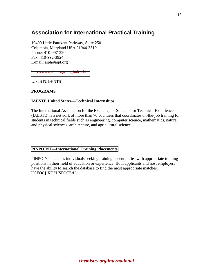# <span id="page-12-0"></span>**Association for International Practical Training**

10400 Little Patuxent Parkway, Suite 250 Columbia, Maryland USA 21044-3519 Phone: 410-997-2200 Fax: 410-992-3924 E-mail: aipt@aipt.org

[http://www.aipt.org/mu\\_index.htm](http://www.aipt.org/mu_index.htm) 

U.S. STUDENTS

### **PROGRAMS**

#### **IAESTE United States—Technical Internships**

The International Association for the Exchange of Students for Technical Experience (IAESTE) is a network of more than 70 countries that coordinates on-the-job training for students in technical fields such as engineering, computer science, mathematics, natural and physical sciences, architecture, and agricultural science.

#### **[PINPOINT—International Training Placements](http://www.pinpointtraining.org/)**

PINPOINT matches individuals seeking training opportunities with appropriate training positions in their field of education or experience. Both applicants and host employers have the ability to search the database to find the most appropriate matches. USFOC**{** XE "USFOC" \i **}**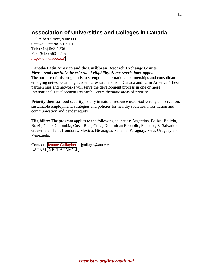## <span id="page-13-0"></span>**Association of Universities and Colleges in Canada**

350 Albert Street, suite 600 Ottawa, Ontario K1R 1B1 Tel: (613) 563-1236 Fax: (613) 563-9745 <http://www.aucc.ca/>

#### **Canada-Latin America and the Caribbean Research Exchange Grants** *Please read carefully the criteria of eligibility. Some restrictions apply.*

The purpose of this program is to strengthen international partnerships and consolidate emerging networks among academic researchers from Canada and Latin America. These partnerships and networks will serve the development process in one or more International Development Research Centre thematic areas of priority.

**Priority themes:** food security, equity in natural resource use, biodiversity conservation, sustainable employment, strategies and policies for healthy societies, information and communication and gender equity.

**Eligibility:** The program applies to the following countries: Argentina, Belize, Bolivia, Brazil, Chile, Colombia, Costa Rica, Cuba, Dominican Republic, Ecuador, El Salvador, Guatemala, Haiti, Honduras, Mexico, Nicaragua, Panama, Paraguay, Peru, Uruguay and Venezuela.

Contact: [Jeanne Gallagher](mailto:jgallagh@aucc.ca) - jgallagh@aucc.ca LATAM**{** XE "LATAM" \i **}**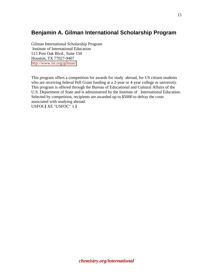## <span id="page-14-0"></span>**Benjamin A. Gilman International Scholarship Program**

Gilman International Scholarship Program Institute of International Education 515 Post Oak Blvd., Suite 150 Houston, TX 77027-9407 <http://www.iie.org/gilman/>

This program offers a competition for awards for study abroad, for US citizen students who are receiving federal Pell Grant funding at a 2-year or 4-year college or university. This program is offered through the Bureau of Educational and Cultural Affairs of the U.S. Department of State and is administered by the Institute of International Education. Selected by competition, recipients are awarded up to \$5000 to defray the costs associated with studying abroad. USFOC**{** XE "USFOC" \i **}**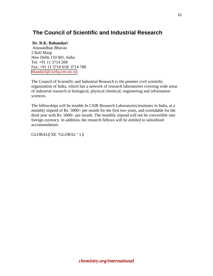# <span id="page-15-0"></span> **The Council of Scientific and Industrial Research**

### **Dr. R.K. Bahandari**

 Anusandhan Bhavan 2 Rafi Marg New Delhi 110 001, India Tel: +91 11 3714 208 Fax: +91 11 3710 618/ 3714 788 bhandari@csirhq.ren.nic.in

The Council of Scientific and Industrial Research is tile premier civil scientific organization of India, which has a network of research laboratories covering wide areas of industrial research in biological, physical chemical, engineering and information sciences.

The fellowships will be tenable In CSIR Research Laboratories/institutes in India, at a monthly stipend of Rs. 5000/- per month for the first two years, and extendable for the third year with Rs. 5600/- per month. The monthly stipend will not be convertible into foreign currency. In addition, the research fellows will be entitled to subsidized accommodation.

GLOBAL**{** XE "GLOBAL" \i **}**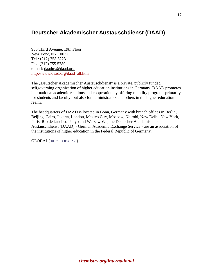### <span id="page-16-0"></span>**Deutscher Akademischer Austauschdienst (DAAD)**

950 Third Avenue, 19th Floor New York, NY 10022 Tel.: (212) 758 3223 Fax: (212) 755 5780 e-mail: daadny@daad.org [http://www.daad.org/daad\\_all.htm](http://www.daad.org/daad_all.htm) 

The "Deutscher Akademischer Austauschdienst" is a private, publicly funded, selfgoverning organization of higher education institutions in Germany. DAAD promotes international academic relations and cooperation by offering mobility programs primarily for students and faculty, but also for administrators and others in the higher education realm.

The headquarters of DAAD is located in Bonn, Germany with branch offices in Berlin, Beijing, Cairo, Jakarta, London, Mexico City, Moscow, Nairobi, New Delhi, New York, Paris, Rio de Janeiro, Tokyo and Warsaw.We, the Deutscher Akademischer Austauschdienst (DAAD) - German Academic Exchange Service - are an association of the institutions of higher education in the Federal Republic of Germany.

GLOBAL**{** XE "GLOBAL" \i **}**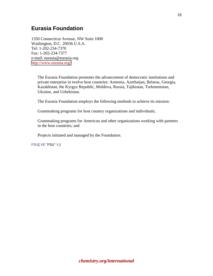### <span id="page-17-0"></span>**Eurasia Foundation**

1350 Connecticut Avenue, NW Suite 1000 Washington, D.C. 20036 U.S.A. Tel: 1-202-234-7370 Fax: 1-202-234-7377 e-mail: eurasia@eurasia.org <http://www.eurasia.org/>

The Eurasia Foundation promotes the advancement of democratic institutions and private enterprise in twelve host countries: Armenia, Azerbaijan, Belarus, Georgia, Kazakhstan, the Kyrgyz Republic, Moldova, Russia, Tajikistan, Turkmenistan, Ukraine, and Uzbekistan.

The Eurasia Foundation employs the following methods to achieve its mission:

Grantmaking programs for host country organizations and individuals;

Grantmaking programs for American and other organizations working with partners in the host countries; and

Projects initiated and managed by the Foundation.

FSU**{** XE "FSU" \i **}**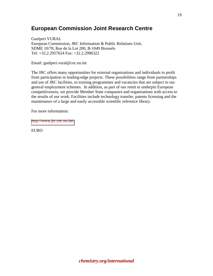### <span id="page-18-0"></span>**European Commission Joint Research Centre**

Guelperi VURAL European Commission, JRC Information & Public Relations Unit, SDME 10/78, Rue de la Loi 200, B-1049 Brussels Tel: +32.2.2957624 Fax: +32.2.2996322

Email: guelperi.vural@cec.eu.int

The JRC offers many opportunities for external organisations and individuals to profit from participation in leading-edge projects. These possibilities range from partnerships and use of JRC facilities, to training programmes and vacancies that are subject to our general employment schemes. In addition, as part of our remit to underpin European competitiveness, we provide Member State companies and organisations with access to the results of our work. Facilities include technology transfer, patents licensing and the maintenance of a large and easily accessible scientific reference library.

For more information:

<http://www.jrc.cec.eu.int/>

EURO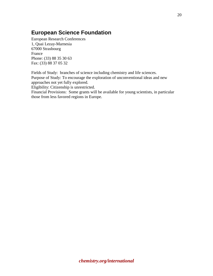# <span id="page-19-0"></span>**European Science Foundation**

European Research Conferences 1, Quai Lezay-Marnesia 67000 Strasbourg France Phone: (33) 88 35 30 63 Fax: (33) 88 37 05 32

Fields of Study: branches of science including chemistry and life sciences. Purpose of Study: To encourage the exploration of unconventional ideas and new approaches not yet fully explored.

Eligibility: Citizenship is unrestricted.

Financial Provisions: Some grants will be available for young scientists, in particular those from less favored regions in Europe.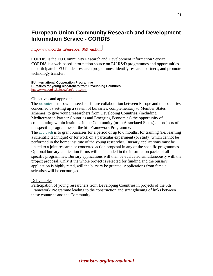### <span id="page-20-0"></span>**European Union Community Research and Development Information Service - CORDIS**

#### [http://www.cordis.lu/en/src/s\\_069\\_en.htm](http://www.cordis.lu/en/src/s_069_en.htm)

CORDIS is the EU Community Research and Development Information Service. CORDIS is a web-based information source on EU R&D programmes and opportunities to participate in EU funded research programmes, identify research partners, and promote technology transfer.

#### **EU International Cooperation Programme Bursaries for young researchers from Developing Countries**  <http://www.cordis.lu/inco2/src/p-b-1.htm>

#### Objectives and approach

The **objective** is to sow the seeds of future collaboration between Europe and the countries concerned by setting up a system of bursaries, complementary to Member States schemes, to give young researchers from Developing Countries, (including Mediterranean Partner Countries and Emerging Economies) the opportunity of collaborating within institutes in the Community (or in Associated States) on projects of the specific programmes of the 5th Framework Programme.

The **approach** is to grant bursaries for a period of up to 6 months, for training (i.e. learning a scientific technique) or for work on a particular experiment (or study) which cannot be performed in the home institute of the young researcher. Bursary applications must be linked to a joint research or concerted action proposal in any of the specific programmes. Optional bursary application forms will be included in the information packs of all specific programmes. Bursary applications will then be evaluated simultaneously with the project proposal. Only if the whole project is selected for funding and the bursary application is highly rated, will the bursary be granted. Applications from female scientists will be encouraged.

#### Deliverables

Participation of young researchers from Developing Countries in projects of the 5th Framework Programme leading to the construction and strengthening of links between these countries and the Community.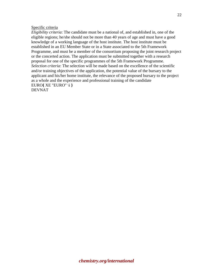#### Specific criteria

*Eligibility criteria*: The candidate must be a national of, and established in, one of the eligible regions; he/she should not be more than 40 years of age and must have a good knowledge of a working language of the host institute. The host institute must be established in an EU Member State or in a State associated to the 5th Framework Programme, and must be a member of the consortium proposing the joint research project or the concerted action. The application must be submitted together with a research proposal for one of the specific programmes of the 5th Framework Programme. *Selection criteria*: The selection will be made based on the excellence of the scientific and/or training objectives of the application, the potential value of the bursary to the applicant and his/her home institute, the relevance of the proposed bursary to the project as a whole and the experience and professional training of the candidate EURO**{** XE "EURO" \i **}** DEVNAT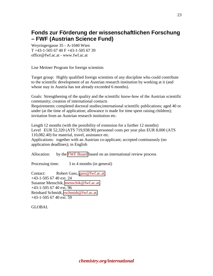## <span id="page-22-0"></span>**Fonds zur Förderung der wissenschaftlichen Forschung – FWF (Austrian Science Fund)**

Weyringergasse 35 - A-1040 Wien T +43-1-505 67 40 F +43-1-505 67 39 office@fwf.ac.at - www.fwf.ac.at

Lise Meitner Program for foreign scientists

Target group: Highly qualified foreign scientists of any discipline who could contribute to the scientific development of an Austrian research institution by working at it (and whose stay in Austria has not already exceeded 6 months).

Goals: Strengthening of the quality and the scientific know-how of the Austrian scientific community; creation of international contacts

Requirements: completed doctoral studies;international scientific publications; aged 40 or under (at the time of application; allowance is made for time spent raising children); invitation from an Austrian research institution etc.

Length 12 months (with the possibility of extension for a further 12 months) Level EUR 52,320 (ATS 719,938.90) personnel costs per year plus EUR 8,000 (ATS 110,082.40) for material, travel, assistance etc.

Applications: together with an Austrian co-applicant; accepted continuously (no application deadlines); in English

Allocation: by the [FWF Board](http://www.fwf.ac.at/en/portrait/FWF_Board.html) based on an international review process

Processing time: 3 to 4 months (in general)

Contact: Robert Gass, [gass@fwf.ac.at,](mailto:gass@fwf.ac.at) +43-1-505 67 40 ext. 24 Susanne Menschik, [menschik@fwf.ac.at,](mailto:menschik@fwf.ac.at) +43-1-505 67 40 ext. 96 Reinhard Schmidt, [rschmidt@fwf.ac.at,](mailto:rschmidt@fwf.ac.at) +43-1-505 67 40 ext. 59

**GLOBAL**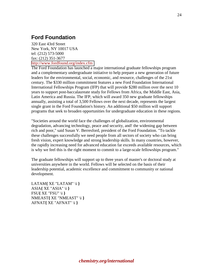### <span id="page-23-0"></span>**Ford Foundation**

320 East 43rd Street New York, NY 10017 USA tel: (212) 573-5000 fax: (212) 351-3677 <http://www.fordfound.org/index.cfm>

The Ford Foundation has launched a major international graduate fellowships program and a complementary undergraduate initiative to help prepare a new generation of future leaders for the environmental, social, economic, and resource, challenges of the 21st century. The \$330 million commitment features a new Ford Foundation International International Fellowships Program (IFP) that will provide \$280 million over the next 10 years to support post-baccalaureate study for Fellows from Africa, the Middle East, Asia, Latin America and Russia. The IFP, which will award 350 new graduate fellowships annually, assisting a total of 3,500 Fellows over the next decade, represents the largest single grant in the Ford Foundation's history. An additional \$50 million will support programs that seek to broaden opportunities for undergraduate education in these regions.

"Societies around the world face the challenges of globalization, environmental degradation, advancing technology, peace and security, and! the widening gap between rich and poor," said Susan V. Berresford, president of the Ford Foundation. "To tackle these challenges successfully we need people from all sectors of society who can bring fresh vision, expert knowledge and strong leadership skills. In many countries, however, the rapidly increasing need for advanced education far exceeds available resources, which is why we feel this is the right moment to commit to a large-scale fellowships program."

The graduate fellowships will support up to three years of master's or doctoral study at universities anywhere in the world. Fellows will be selected on the basis of their leadership potential, academic excellence and commitment to community or national development.

LATAM**{** XE "LATAM" \i **}** ASIA**{** XE "ASIA" \i **}** FSU**{** XE "FSU" \i **}** NMEAST**{** XE "NMEAST" \i **}** AFNAT**{** XE "AFNAT" \i **}**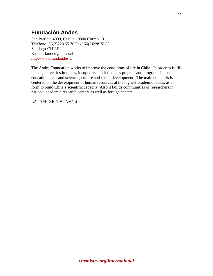# <span id="page-24-0"></span>**Fundación Andes**

San Patricio 4099, Casilla 19000 Correo 19 Teléfono: 56(2)228 55 76 Fax: 56(2)228 78 83 Santiago-CHILE E-mail: fandes@netup.cl [http://www.fundandes.cl](http://www.fundandes.cl/) 

The Andes Foundation works to improve the conditions of life in Chile. In order to fulfill this objective, it stimulates, it supports and it finances projects and programs in the education areas and sciences, culture and social development. The main emphasis is centered on the development of human resources at the highest academic levels, as a form to build Chile's scientific capacity. Also it builds communities of researchers in national academic research centers as well as foreign centers.

LATAM**{** XE "LATAM" \i **}**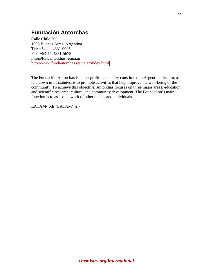## <span id="page-25-0"></span>**Fundación Antorchas**

Calle Chile 300 1098 Buenos Aires, Argentina Tel: +54-11-4331-9905 Fax: +54-11-4331-5673 info@fundantorchas.retina.ar <http://www.fundantorchas.retina.ar/index.html>

The Fundación Antorchas is a non-profit legal entity constituted in Argentina. Its aim, as laid down in its statutes, is to promote activities that help improve the well-being of the community. To achieve this objective, Antorchas focuses on three major areas: education and scientific research; culture; and community development. The Foundation's main function is to assist the work of other bodies and individuals.

LATAM**{** XE "LATAM" \i **}**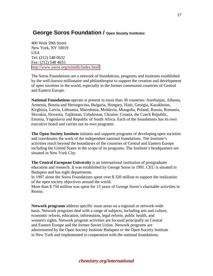### <span id="page-26-0"></span> **George Soros Foundation / Open Society Institutes**

400 West 59th Street New York, NY 10019 USA Tel: (212) 548 0632 Fax: (212) 548 4655 <http://www.soros.org/minidir/index.html>

The Soros Foundations are a network of foundations, programs and institutes established by the well-known millionaire and philanthropist to support the creation and development of open societies in the world, especially in the former communist countries of Central and Eastern Europe.

**National Foundations** operate at present in more than 30 countries: Azerbaijan, Albania, Armenia, Bosnia and Herzegovina, Bulgaria, Hungary, Haiti, Georgia, Kazakhstan, Kirghizia, Latvia, Lithuania, Macedonia, Moldavia, Mongolia, Poland, Russia, Romania, Slovakia, Slovenia, Tajikistan, Uzbekistan, Ukraine, Croatia, the Czech Republic, Estonia, Yugoslavia and Republic of South Africa. Each of the foundations has its own executive board and carries out its own programs.

**The Open Society Institute** initiates and supports programs of developing open societies and coordinates the work of the independent national foundations. The Institute's activities reach beyond the boundaries of the countries of Central and Eastern Europe including the United States in the scope of its programs. The Institute's headquarters are situated in New York City.

**The Central European University** is an international institution of postgraduate education and research. It was established by George Soros in 1991. CEU is situated in Budapest and has eight departments.

In 1997 alone the Soros Foundations spent over \$ 320 million to support the realization of the open society objectives around the world.

More than \$ 750 million was spent for 13 years of George Soros's charitable activities in Russia.

**Network programs** address specific issue areas on a regional or network-wide basis. Network programs deal with a range of subjects, including arts and culture, economic reform, education, information, legal reform, public health, and women's rights. Network program activities are focused principally on Central and Eastern Europe and the former Soviet Union. Network programs are administered by the Open Society Institute Budapest or the Open Society Institute in New York and implemented in cooperation with the national foundations.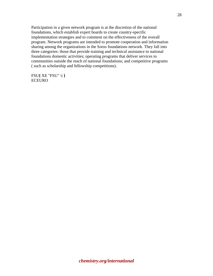Participation in a given network program is at the discretion of the national foundations, which establish expert boards to create country-specific implementation strategies and to comment on the effectiveness of the overall program. Network programs are intended to promote cooperation and information sharing among the organizations in the Soros foundations network. They fall into three categories: those that provide training and technical assistance to national foundations domestic activities; operating programs that deliver services to communities outside the reach of national foundations; and competitive programs ( such as scholarship and fellowship competitions).

FSU**{** XE "FSU" \i **}** ECEURO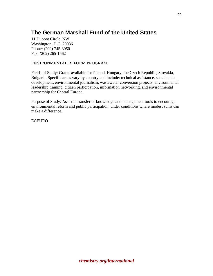# <span id="page-28-0"></span>**The German Marshall Fund of the United States**

11 Dupont Circle, NW Washington, D.C. 20036 Phone: (202) 745-3950 Fax: (202) 265-1662

#### ENVIRONMENTAL REFORM PROGRAM:

Fields of Study: Grants available for Poland, Hungary, the Czech Republic, Slovakia, Bulgaria. Specific areas vary by country and include: technical assistance, sustainable development, environmental journalism, wastewater conversion projects, environmental leadership training, citizen participation, information networking, and environmental partnership for Central Europe.

Purpose of Study: Assist in transfer of knowledge and management tools to encourage environmental reform and public participation under conditions where modest sums can make a difference.

ECEURO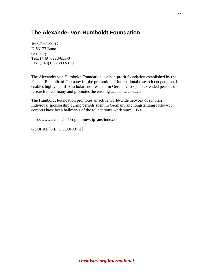## <span id="page-29-0"></span>**The Alexander von Humboldt Foundation**

Jean-Paul-St. 12 D-53173 Bonn Germany Tel.: (+49) 0228-833-0 Fax: (+49) 0228-833-199

The Alexander von Humboldt Foundation is a non-profit foundation established by the Federal Republic of Germany for the promotion of international research cooperation. It enables highly qualified scholars not resident in Germany to spend extended periods of research in Germany and promotes the ensuing academic contacts.

The Humboldt Foundation promotes an active world-wide network of scholars. Individual sponsorship during periods spent in Germany and longstanding follow-up contacts have been hallmarks of the foundation's work since 1953.

http://www.avh.de/en/programme/stip\_aus/index.htm

GLOBAL**{** XE "ECEURO" \i **}**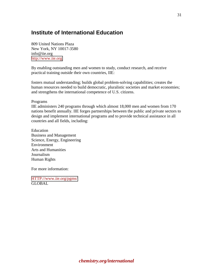### <span id="page-30-0"></span>**Institute of International Education**

809 United Nations Plaza New York, NY 10017-3580 info@iie.org [http://www.iie.org](http://www.iie.org/) 

By enabling outstanding men and women to study, conduct research, and receive practical training outside their own countries, IIE:

fosters mutual understanding; builds global problem-solving capabilities; creates the human resources needed to build democratic, pluralistic societies and market economies; and strengthens the international competence of U.S. citizens.

Programs

IIE administers 240 programs through which almost 18,000 men and women from 170 nations benefit annually. IIE forges partnerships between the public and private sectors to design and implement international programs and to provide technical assistance in all countries and all fields, including:

Education Business and Management Science, Energy, Engineering Environment Arts and Humanities Journalism Human Rights

For more information:

[HTTP://www.iie.org/pgms/](http://www.iie.org/pgms/)  GLOBAL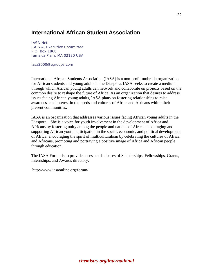### <span id="page-31-0"></span>**International African Student Association**

IASA-Net I.A.S.A. Executive Committee P.O. Box 1868 Jamaica Plain, MA 02130 USA

iasa2000@egroups.com

International African Students Association (IASA) is a non-profit umbrella organization for African students and young adults in the Diaspora. IASA seeks to create a medium through which African young adults can network and collaborate on projects based on the common desire to reshape the future of Africa. As an organization that desires to address issues facing African young adults, IASA plans on fostering relationships to raise awareness and interest in the needs and cultures of Africa and Africans within their present communities.

IASA is an organization that addresses various issues facing African young adults in the Diaspora. She is a voice for youth involvement in the development of Africa and Africans by fostering unity among the people and nations of Africa, encouraging and supporting African youth participation in the social, economic, and political development of Africa, encouraging the spirit of multiculturalism by celebrating the cultures of Africa and Africans, promoting and portraying a positive image of Africa and African people through education.

The IASA Forum is to provide access to databases of Scholarships, Fellowships, Grants, Internships, and Awards directory:

http://www.iasaonline.org/forum/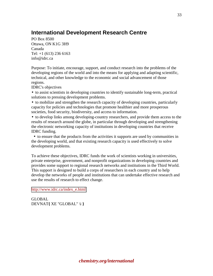## <span id="page-32-0"></span>**International Development Research Centre**

PO Box 8500 Ottawa, ON K1G 3H9 Canada Tel: +1 (613) 236 6163 info@idrc.ca

Purpose: To initiate, encourage, support, and conduct research into the problems of the developing regions of the world and into the means for applying and adapting scientific, technical, and other knowledge to the economic and social advancement of those regions.

IDRC's objectives

• to assist scientists in developing countries to identify sustainable long-term, practical solutions to pressing development problems.

• to mobilize and strengthen the research capacity of developing countries, particularly capacity for policies and technologies that promote healthier and more prosperous societies, food security, biodiversity, and access to information.

• to develop links among developing-country researchers, and provide them access to the results of research around the globe, in particular through developing and strengthening the electronic networking capacity of institutions in developing countries that receive IDRC funding.

 • to ensure that the products from the activities it supports are used by communities in the developing world, and that existing research capacity is used effectively to solve development problems.

To achieve these objectives, IDRC funds the work of scientists working in universities, private enterprise, government, and nonprofit organizations in developing countries and provides some support to regional research networks and institutions in the Third World. This support is designed to build a corps of researchers in each country and to help develop the networks of people and institutions that can undertake effective research and use the results of research to effect change.

[http://www.idrc.ca/index\\_e.html](http://www.idrc.ca/index_e.html) 

GLOBAL DEVNAT**{** XE "GLOBAL" \i **}**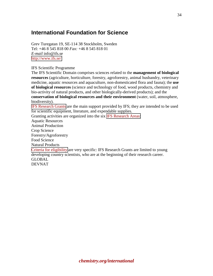### <span id="page-33-0"></span>**International Foundation for Science**

Grev Turegatan 19, SE-114 38 Stockholm, Sweden Tel: +46 8 545 818 00 *Fax:* +46 8 545 818 01 *E-mail* info@ifs.se <http://www.ifs.se/>

IFS Scientific Programme

The IFS Scientific Domain comprises sciences related to the **management of biological resources** (agriculture, horticulture, forestry, agroforestry, animal husbandry, veterinary medicine, aquatic resources and aquaculture, non-domesticated flora and fauna); the **use of biological resources** (science and technology of food, wood products, chemistry and bio-activity of natural products, and other biologically-derived products); and the **conservation of biological resources and their environment** (water, soil, atmosphere,

biodiversity).

[IFS Research Grants](http://www.ifs.se/Research_Grants.htm) are the main support provided by IFS; they are intended to be used for scientific equipment, literature, and expendable supplies.

Granting activities are organized into the six [IFS Research Areas:](http://www.ifs.se/Research_Areas.htm)

Aquatic Resources

Animal Production

Crop Science

Forestry/Agroforestry

Food Science

Natural Products

[Criteria for eligibility](http://www.ifs.se/Eligibility.htm) are very specific: IFS Research Grants are limited to young developing country scientists, who are at the beginning of their research career. GLOBAL

DEVNAT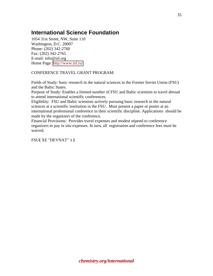# <span id="page-34-0"></span>**International Science Foundation**

1054 31st Street, NW, Suite 110 Washington, D.C. 20007 Phone: (202) 342-2760 Fax: (202) 342-2765 E-mail: info@isf.org Home Page: <http://www.isf.ru/>

#### CONFERENCE TRAVEL GRANT PROGRAM:

Fields of Study: basic research in the natural sciences in the Former Soviet Union (FSU) and the Baltic States.

Purpose of Study: Enables a limited number of FSU and Baltic scientists to travel abroad to attend international scientific conferences.

Eligibility: FSU and Baltic scientists actively pursuing basic research in the natural sciences at a scientific institution in the FSU. Must present a paper or poster at an international professional conference in their scientific discipline. Applications should be made by the organizers of the conference.

Financial Provisions: Provides travel expenses and modest stipend to conference organizers to pay in situ expenses. In turn, all registration and conference fees must be waived.

### FSU**{** XE "DEVNAT" \i **}**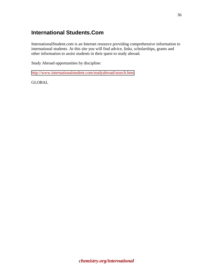## <span id="page-35-0"></span>**International Students.Com**

InternationalStudent.com is an Internet resource providing comprehensive information to international students. At this site you will find advice, links, scholarships, grants and other information to assist students in their quest to study abroad.

Study Abroad opportunities by discipline:

<http://www.internationalstudent.com/studyabroad/search.htm>

**GLOBAL**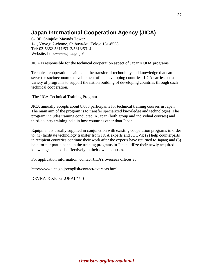# **Japan International Cooperation Agency (JICA)**

6-13F, Shinjuku Maynds Tower 1-1, Yoyogi 2-chome, Shibuya-ku, Tokyo 151-8558 Tel: 03-5352-5311/5312/5313/5314 Website: http://www.jica.go.jp/

JICA is responsible for the technical cooperation aspect of Japan's ODA programs.

Technical cooperation is aimed at the transfer of technology and knowledge that can serve the socioeconomic development of the developing countries. JICA carries out a variety of programs to support the nation building of developing countries through such technical cooperation.

The JICA Technical Training Program

JICA annually accepts about 8,000 participants for technical training courses in Japan. The main aim of the program is to transfer specialized knowledge and technologies. The program includes training conducted in Japan (both group and individual courses) and third-country training held in host countries other than Japan.

Equipment is usually supplied in conjunction with existing cooperation programs in order to: (1) facilitate technology transfer from JICA experts and JOCVs; (2) help counterparts in recipient countries continue their work after the experts have returned to Japan; and (3) help former participants in the training programs in Japan utilize their newly acquired knowledge and skills effectively in their own countries.

For application information, contact JICA's overseas offices at

http://www.jica.go.jp/english/contact/overseas.html

DEVNAT**{** XE "GLOBAL" \i **}**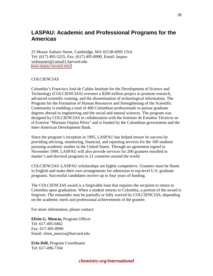### **LASPAU: Academic and Professional Programs for the Americas**

25 Mount Auburn Street, Cambridge, MA 02138-6095 USA Tel: (617) 495-5255, Fax: (617) 495-8990, Email: laspauwebmaster@camail1.harvard.edu [www.laspau.harvard.edu/](www.laspau.harvard.edu\)

#### COLCIENCIAS

Colombia's Francisco José de Caldas Institute for the Development of Science and Technology (COLCIENCIAS) oversees a \$200 million project to promote research, advanced scientific training, and the dissemination of technological information. The Program for the Formation of Human Resources and Strengthening of the Scientific Community is enabling a total of 400 Colombian professionals to pursue graduate degrees abroad in engineering and the social and natural sciences. The program was designed by COLCIENCIAS in collaboration with the Instituto de Estudios Técnicos en el Exterior "Mariano Ospina Pérez" and is funded by the Colombian government and the Inter-American Development Bank.

Since the program's inception in 1995, LASPAU has helped ensure its success by providing advising, monitoring, financial, and reporting services for the 100 students pursuing academic studies in the United States. Through an agreement signed in November 1999, LASPAU will also provide services for 200 grantees enrolled in master's and doctoral programs in 21 countries around the world.

COLCIENCIAS–LASPAU scholarships are highly competitive. Grantees must be fluent in English and make their own arrangements for admission to top-level U.S. graduate programs. Successful candidates receive up to four years of funding.

The COLCIENCIAS award is a forgivable loan that requires the recipient to return to Colombia upon graduation. When a student returns to Colombia, a portion of the award is forgiven. The remainder may be partially or fully waived by COLCIENCIAS, depending on the academic merit and professional achievements of the grantee.

For more information, please contact:

**Efrén G. Mencía,** Program Officer Tel: 617-495-0462 Fax: 617-495-8990 Email: efren**\_**mencia@harvard.edu

**Erin Dell,** Program Coordinator Tel: 617-496-7104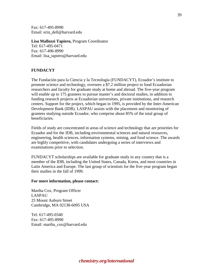Fax: 617-495-8990 Email: erin**\_**dell@harvard.edu

#### **Lisa Mallozzi Tapiero,** Program Coordinator

Tel: 617-495-0471 Fax: 617-496-8990 Email: lisa**\_**tapiero@harvard.edu

### **FUNDACYT**

The Fundación para la Ciencia y la Tecnología (FUNDACYT), Ecuador's institute to promote science and technology, oversees a \$7.2 million project to fund Ecuadorian researchers and faculty for graduate study at home and abroad. The five-year program will enable up to 175 grantees to pursue master's and doctoral studies, in addition to funding research projects at Ecuadorian universities, private institutions, and research centers. Support for the project, which began in 1995, is provided by the Inter-American Development Bank (IDB). LASPAU assists with the placement and monitoring of grantees studying outside Ecuador, who comprise about 85% of the total group of beneficiaries.

Fields of study are concentrated in areas of science and technology that are priorities for Ecuador and for the IDB, including environmental sciences and natural resources, engineering, health sciences, information systems, mining, and food science. The awards are highly competitive, with candidates undergoing a series of interviews and examinations prior to selection.

FUNDACYT scholarships are available for graduate study in any country that is a member of the IDB, including the United States, Canada, Korea, and most countries in Latin America and Europe. The last group of scientists for the five-year program began their studies in the fall of 1999.

#### **For more information, please contact:**

Martha Cox, Program Officer LASPAU 25 Mount Auburn Street Cambridge, MA 02138-6095 USA

Tel: 617-495-0340 Fax: 617-495-8990 Email: martha\_cox@harvard.edu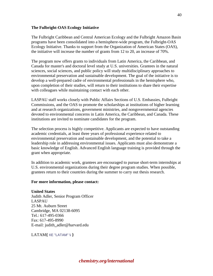### **The Fulbright-OAS Ecology Initiative**

The Fulbright Caribbean and Central American Ecology and the Fulbright Amazon Basin programs have been consolidated into a hemisphere-wide program, the Fulbright-OAS Ecology Initiative. Thanks to support from the Organization of American States (OAS), the initiative will increase the number of grants from 12 to 20, an increase of 70%.

The program now offers grants to individuals from Latin America, the Caribbean, and Canada for master's and doctoral level study at U.S. universities. Grantees in the natural sciences, social sciences, and public policy will study multidisciplinary approaches to environmental preservation and sustainable development. The goal of the initiative is to develop a well-prepared cadre of environmental professionals in the hemisphere who, upon completion of their studies, will return to their institutions to share their expertise with colleagues while maintaining contact with each other.

LASPAU staff works closely with Public Affairs Sections of U.S. Embassies, Fulbright Commissions, and the OAS to promote the scholarships at institutions of higher learning and at research organizations, government ministries, and nongovernmental agencies devoted to environmental concerns in Latin America, the Caribbean, and Canada. These institutions are invited to nominate candidates for the program.

The selection process is highly competitive. Applicants are expected to have outstanding academic credentials, at least three years of professional experience related to environmental preservation and sustainable development, and the potential to take a leadership role in addressing environmental issues. Applicants must also demonstrate a basic knowledge of English. Advanced English language training is provided through the grant when appropriate.

In addition to academic work, grantees are encouraged to pursue short-term internships at U.S. environmental organizations during their degree program studies. When possible, grantees return to their countries during the summer to carry out thesis research.

#### **For more information, please contact:**

**United States** Judith Adler, Senior Program Officer LASPAU 25 Mt. Auburn Street Cambridge, MA 02138-6095 Tel.: 617-495-0366 Fax: 617-495-8990 E-mail: judith**\_**adler@harvard.edu

LATAM**{** XE "LATAM" \i **}**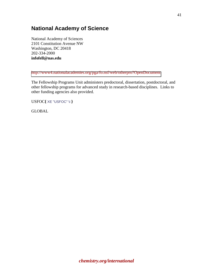## **National Academy of Science**

National Academy of Sciences 2101 Constitution Avenue NW Washington, DC 20418 202-334-2000 **infofell@nas.edu**

<http://www4.nationalacademies.org/pga/fo.nsf/web/otherpro?OpenDocument>

The Fellowship Programs Unit administers predoctoral, dissertation, postdoctoral, and other fellowship programs for advanced study in research-based disciplines. Links to other funding agencies also provided.

USFOC**{** XE "USFOC" \i **}**

GLOBAL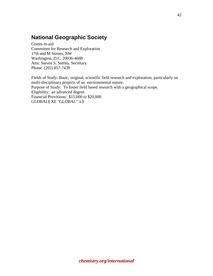## **National Geographic Society**

Grants-in-aid Committee for Research and Exploration 17th and M Streets, NW Washington, D.C. 20036-4688 Attn: Steven S. Stettes, Secretary Phone: (202) 857-7439

Fields of Study: Basic, original, scientific field research and exploration, particularly on multi-disciplinary projects of an environmental nature. Purpose of Study: To foster field based research with a geographical scope. Eligibility: an advanced degree. Financial Provisions: \$15,000 to \$20,000. GLOBAL**{** XE "GLOBAL" \i **}**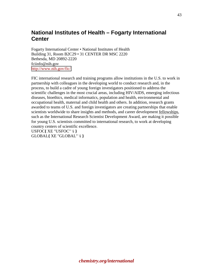## **National Institutes of Health – Fogarty International Center**

Fogarty International Center • National Institutes of Health Building 31, Room B2C29 • 31 CENTER DR MSC 2220 Bethesda, MD 20892-2220 fciinfo@nih.gov <http://www.nih.gov/fic/>

FIC international research and training programs allow institutions in the U.S. to work in partnership with colleagues in the developing world to conduct research and, in the process, to build a cadre of young foreign investigators positioned to address the scientific challenges in the most crucial areas, including HIV/AIDS, emerging infectious diseases, bioethics, medical informatics, population and health, environmental and occupational health, maternal and child health and others. In addition, research grants awarded to teams of U.S. and foreign investigators are creating partnerships that enable scientists worldwide to share insights and methods, and career development fellowships, such as the International Research Scientist Development Award, are making it possible for young U.S. scientists committed to international research, to work at developing country centers of scientific excellence. USFOC**{** XE "USFOC" \i **}**

GLOBAL**{** XE "GLOBAL" \i **}**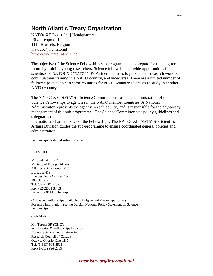## **North Atlantic Treaty Organization**

NATO**{** XE "NATO" \i **}** Headquarters Blvd Leopold III 1110 Brussels, Belgium natodoc@hq.nato.int <http://www.nato.int/science>

The objective of the Science Fellowships sub-programme is to prepare for the long-term future by training young researchers. Science fellowships provide opportunities for scientists of NATO**{** XE "NATO" \i **}**'s Partner countries to pursue their research work or continue their training in a NATO country, and vice-versa. There are a limited number of fellowships available in some countries for NATO-country scientists to study in another NATO country.

The NATO**{** XE "NATO" \i **}** Science Committee entrusts the administration of the Science Fellowships to agencies in the NATO member countries. A National Administrator represents the agency in each country and is responsible for the day-to-day management of this sub-programme. The Science Committee sets policy guidelines and safeguards the international characteristics of the Fellowships. The NATO**{** XE "NATO" \i **}** Scientific

Affairs Division guides the sub-programme to ensure coordinated general policies and administration.

Fellowships: National Administrators

#### BELGIUM

Mr. Joel TABURY Ministry of Foreign Affairs Affaires Scientifiques (P.61) Bureau E 419 Rue des Petits Carmes, 15 1000 Brussels Tel: (32-2)501.37.06 Fax: (32-2)501.37.03 E-mail: p60@diplobel.org

(Advanced Fellowships available to Belgian and Partner applicants) For more information, see the Belgian National Policy Statement on Science Fellowships

#### CANADA

Ms. Teresa BRYCHCY Scholarships & Fellowships Division Natural Sciences and Engineering Research Council of Canada Ottawa, Ontario K1A 1H5 Tel. (1-613) 995-5521 Fax (1-613) 996-2589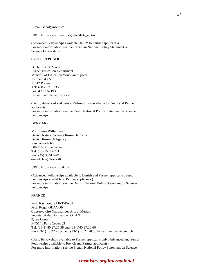E-mail: schol@nserc.ca

URL : http://www.nserc.ca/guide/sf/3e\_e.htm

(Advanced Fellowships available ONLY to Partner applicants) For more information, see the Canadian National Policy Statement on Science Fellowships

#### CZECH REPUBLIC

Dr. Jan LACHMAN Higher Education Department Ministry of Education Youth and Sports Karmelitska 5 11812 Prague Tel: 420.2.57193358 Fax: 420.2.57193351 E-mail: lachman@msmt.cz

(Basic, Advanced and Senior Fellowships - available to Czech and Partner applicants) For more information, see the Czech National Policy Statement on Science Fellowships

#### DENMARK

Ms. Louise Willumsen Danish Natural Science Research Council Danish Research Agency Randersgade 60 DK-2100 Copenhagen Tel: (45) 3544 6261 Fax: (45) 3544 6201 e-mail: lew@forsk.dk

URL : http://www.forsk.dk

(Advanced Fellowships available to Danish and Partner applicants; Senior Fellowships available to Partner applicants.) For more information, see the Danish National Policy Statement on Science Fellowships

#### FRANCE

Prof. Raymond SAINT-PAUL Prof. Roger OHAYON Conservatoire National des Arts et Metiers Secretariat des Bourses de l'OTAN 2, rue Conte F-75141 Paris Cedex 03 Tel. (33-1) 40.27.25.58 and (33-1)40.27.23.66 Fax (33-1) 40.27.25.58 and (33-1) 40.27.20.86 E-mail: weiman@cnam.fr

(Basic Fellowships available to Partner applicants only; Advanced and Senior Fellowships available to French and Partner applicants) For more information, see the French National Policy Statement on Science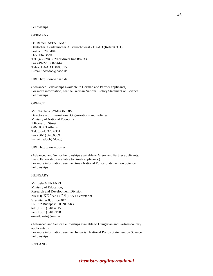#### Fellowships

GERMANY

Dr. Rafael RATAJCZAK Deutscher Akademischer Austauschdienst - DAAD (Referat 311) Postfach 200 404 D-53134 Bonn Tel. (49-228) 8820 or direct line 882 339 Fax (49-228) 882 444 Telex: DAAD D 8/85515 E-mail: postdoc@daad.de

URL: http://www.daad.de

(Advanced Fellowships available to German and Partner applicants) For more information, see the German National Policy Statement on Science Fellowships

#### **GREECE**

Mr. Nikolaos SYMEONIDIS Directorate of International Organizations and Policies Ministry of National Economy 1 Kornarou Street GR-105 63 Athens Tel. (30-1) 328 6301 Fax (30-1) 328.6309 E-mail: sdoob@dos.gr

URL: http://www.dos.gr

(Advanced and Senior Fellowships available to Greek and Partner applicants; Basic Fellowships available to Greek applicants.) For more information, see the Greek National Policy Statement on Science Fellowships

HUNGARY

Mr. Bela MURANYI Ministry of Education, Research and Development Division NATO**{** XE "NATO" \i **}** S&T Secretariat Szervita tér 8, office 407 H-1052 Budapest, HUNGARY tel: (+36 1) 318 4015 fax (+36 1) 318 7198 e-mail: nato@om.hu

(Advanced and Senior Fellowships available to Hungarian and Partner-country applicants.)) For more information, see the Hungarian National Policy Statement on Science Fellowships

ICELAND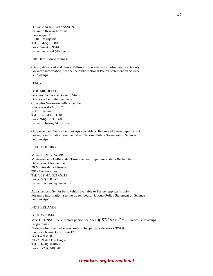Dr. Kristjan KRISTJANSSON Icelandic Research Council Laugavegur 13 IS-101 Reykjavik Tel. (354-5) 155800 Fax (354-5) 529814 E-mail: kristjank@rannis.is

URL: http://www.rannis.is

(Basic, Advanced and Senior Fellowships available to Partner applicants only.) For more information, see the Icelandic National Policy Statement on Science Fellowships

ITALY

Dr.R. MICOLITTI Servizio Concorsi e Borse di Studio Direzione Centrale Personale Consiglio Nazionale delle Ricerche Piazzale Aldo Moro, 7 I-00185 Roma Tel. (39-6) 4993 3748 Fax (39-6) 4993 3868 E-mail: g.buzio@dcp.cnr.it

(Advanced and Senior Fellowships available to Italian and Partner applicants) For more information, see the Italian National Policy Statement on Science Fellowships

LUXEMBOURG

Mme. J. ENTRINGER Ministère de la Culture, de l'Enseignement Supérieur et de la Recherche Département Recherche 20 Montée de la Pétrusse 2912 Luxembourg Tel: (352) 478 5217/5219 Fax: (352) 460 927 E-mail: recherche@mcesr.lu

Advanced and Senior Fellowships available to Partner applicants only For more information, see the Luxembourg National Policy Statement on Science Fellowships

#### **NETHERLANDS**

Dr. H. WEIJMA Mrs. J. CONSOLINI (Contact person for NATO**{** XE "NATO" \i **}** Science Fellowships Programme) Nederlandse organisatie voor wetenschappelijk onderzoek (NWO) Laan van Nieuw Oost Indië 131 PO Box 93138 NL-2509 AC The Hague Tel. (31-70) 3440630 Fax (31-70)3440620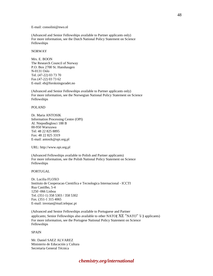#### E-mail: consolini@nwo.nl

(Advanced and Senior Fellowships available to Partner applicants only) For more information, see the Dutch National Policy Statement on Science Fellowships

#### NORWAY

Mrs. E. BOON The Research Council of Norway P.O. Box 2700 St. Hanshaugen N-0131 Oslo Tel. (47-22) 03 73 70 Fax (47-22) 03 73 62 E-mail: eb@forskningsradet.no

(Advanced and Senior Fellowships available to Partner applicants only) For more information, see the Norwegian National Policy Statement on Science Fellowships

#### POLAND

Dr. Maria ANTOSIK Information Processing Centre (OPI) Al. Niepodleglosci 188 B 00-950 Warszawa Tel: 48 22 825 8895 Fax: 48 22 825 3319 E-mail: antosik@opi.org.pl

URL: http://www.opi.org.pl

(Advanced Fellowships available to Polish and Partner applicants) For more information, see the Polish National Policy Statement on Science Fellowships

PORTUGAL

Dr. Lucilia FLOXO Instituto de Cooperacao Cientifica e Tecnologica Internacional - ICCTI Rua Castilho, 5-4 1250 -066 Lisboa Tel. (351-1) 358 5303 / 358 5302 Fax. (351-1 315 4065 E-mail: invotan@mail.telepac.pt

(Advanced and Senior Fellowships available to Portuguese and Partner applicants; Senior Fellowships also available to other NATO**{** XE "NATO" \i **}** applicants) For more information, see the Portugese National Policy Statement on Science Fellowships

SPAIN

Mr. Daniel SAEZ ALVAREZ Ministerio de Educación y Cultura Secretaria General Técnica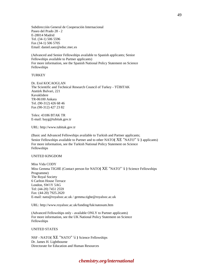Subdirección General de Cooperación Internacional Paseo del Prado 28 - 2 E-28014 Madrid Tel. (34-1) 506 5596 Fax (34-1) 506 5705 Email: daniel.saez@educ.mec.es

(Advanced and Senior Fellowships available to Spanish applicants; Senior Fellowships available to Partner applicants) For more information, see the Spanish National Policy Statement on Science Fellowships

#### **TURKEY**

Dr. Erol KOCAOGLAN The Scientific and Technical Research Council of Turkey - TÜBITAK Atatürk Bulvari, 221 Kavaklidere TR-06100 Ankara Tel. (90-312) 426 68 46 Fax (90-312) 427 23 82

Telex: 43186 BTAK TR E-mail: bayg@tubitak.gov.tr

URL: http://www.tubitak.gov.tr

(Basic and Advanced Fellowships available to Turkish and Partner applicants; Senior Fellowships available to Partner and to other NATO**{** XE "NATO" \i **}** applicants) For more information, see the Turkish National Policy Statement on Science Fellowships

#### UNITED KINGDOM

Miss Vida CODY Miss Gemma TIGHE (Contact person for NATO**{** XE "NATO" \i **}** Science Fellowships Programme) The Royal Society 6 Carlton House Terrace London, SW1Y 5AG Tel: (44-20) 7451 2559 Fax: (44-20) 7925.2620 E-mail: nato@royalsoc.ac.uk / gemma.tighe@royalsoc.ac.uk

URL: http://www.royalsoc.ac.uk/funding/fuk/natosum.htm

(Advanced Fellowships only - available ONLY to Partner applicants) For more information, see the UK National Policy Statement on Science Fellowships

UNITED STATES

NSF - NATO**{** XE "NATO" \i **}** Science Fellowships Dr. James H. Lightbourne Directorate for Education and Human Resources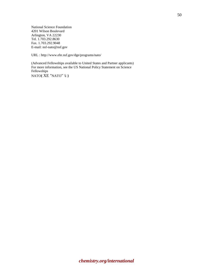National Science Foundation 4201 Wilson Boulevard Arlington, VA 22230 Tel. 1.703.292.8630 Fax. 1.703.292.9048 E-mail: nsf-nato@nsf.gov

URL : http://www.ehr.nsf.gov/dge/programs/nato/

(Advanced Fellowships available to United States and Partner applicants) For more information, see the US National Policy Statement on Science Fellowships NATO**{** XE "NATO" \i **}**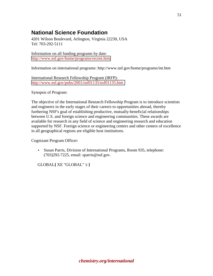## **National Science Foundation**

4201 Wilson Boulevard, Arlington, Virginia 22230, USA Tel: 703-292-5111

Information on all funding programs by date: <http://www.nsf.gov/home/programs/recent.htm>

Information on international programs: http://www.nsf.gov/home/programs/int.htm

International Research Fellowship Program (IRFP): <http://www.nsf.gov/pubs/2001/nsf01135/nsf01135.htm>

Synopsis of Program:

The objective of the International Research Fellowship Program is to introduce scientists and engineers in the early stages of their careers to opportunities abroad, thereby furthering NSF's goal of establishing productive, mutually-beneficial relationships between U.S. and foreign science and engineering communities. These awards are available for research in any field of science and engineering research and education supported by NSF. Foreign science or engineering centers and other centers of excellence in all geographical regions are eligible host institutions.

Cognizant Program Officer:

• Susan Parris, Division of International Programs, Room 935, telephone: (703)292-7225, email: sparris@nsf.gov.

GLOBAL**{** XE "GLOBAL" \i **}**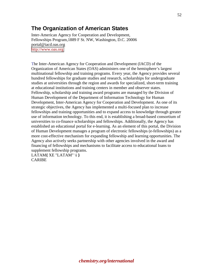## **The Organization of American States**

Inter-American Agency for Cooperation and Development, Fellowships Program,1889 F St. NW, Washington, D.C. 20006 portal@iacd.oas.org [http://www.oas.org](http://www.oas.org/) 

The Inter-American Agency for Cooperation and Development (IACD) of the Organization of American States (OAS) administers one of the hemisphere's largest multinational fellowship and training programs. Every year, the Agency provides several hundred fellowships for graduate studies and research, scholarships for undergraduate studies at universities through the region and awards for specialized, short-term training at educational institutions and training centers in member and observer states. Fellowship, scholarship and training award programs are managed by the Division of Human Development of the Department of Information Technology for Human Development, Inter-American Agency for Cooperation and Development. As one of its strategic objectives, the Agency has implemented a multi-focused plan to increase fellowships and training opportunities and to expand access to knowledge through greater use of information technology. To this end, it is establishing a broad-based consortium of universities to co-finance scholarships and fellowships. Additionally, the Agency has established an educational portal for e-learning. As an element of this portal, the Division of Human Development manages a program of electronic fellowships (e-fellowships) as a more cost-effective mechanism for expanding fellowship and learning opportunities. The Agency also actively seeks partnership with other agencies involved in the award and financing of fellowships and mechanisms to facilitate access to educational loans to supplement fellowship programs.

LATAM**{** XE "LATAM" \i **}** CARIBE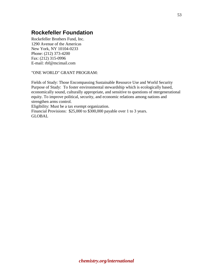## **Rockefeller Foundation**

Rockefeller Brothers Fund, Inc. 1290 Avenue of the Americas New York, NY 10104-0233 Phone: (212) 373-4200 Fax: (212) 315-0996 E-mail: rbf@mcimail.com

### "ONE WORLD" GRANT PROGRAM:

Fields of Study: Those Encompassing Sustainable Resource Use and World Security Purpose of Study: To foster environmental stewardship which is ecologically based, economically sound, culturally appropriate, and sensitive to questions of ntergenerational equity. To improve political, security, and economic relations among nations and strengthen arms control.

Eligibility: Must be a tax exempt organization.

Financial Provisions: \$25,000 to \$300,000 payable over 1 to 3 years. GLOBAL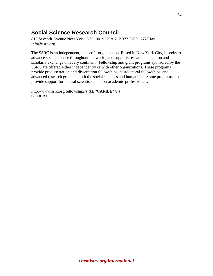# **Social Science Research Council**

810 Seventh Avenue New York, NY 10019 USA 212.377.2700 | 2727 fax info@ssrc.org

The SSRC is an independent, nonprofit organization. Based in New York City, it seeks to advance social science throughout the world, and supports research, education and scholarly exchange on every continent. Fellowship and grant programs sponsored by the SSRC are offered either independently or with other organizations. These programs provide predissertation and dissertation fellowships, postdoctoral fellowships, and advanced research grants in both the social sciences and humanities. Some programs also provide support for natural scientists and non-academic professionals.

http://www.ssrc.org/fellowships/**{** XE "CARIBE" \i **}** GLOBAL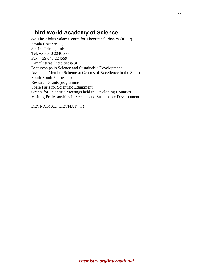## **Third World Academy of Science**

c/o The Abdus Salam Centre for Theoretical Physics (ICTP) Strada Costiere 11, 34014 Trieste, Italy Tel: +39 040 2240 387 Fax: +39 040 224559 E-mail: twas@ictp.trieste.it Lectureships in Science and Sustainable Development Associate Member Scheme at Centres of Excellence in the South South-South Fellowships Research Grants programme Spare Parts for Scientific Equipment Grants for Scientific Meetings held in Developing Counties Visiting Professorships in Science and Sustainable Development

DEVNAT**{** XE "DEVNAT" \i **}**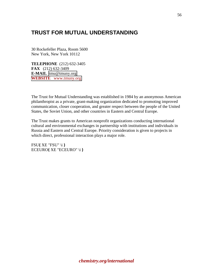## **TRUST FOR MUTUAL UNDERSTANDING**

30 Rockefeller Plaza, Room 5600 New York, New York 10112

**TELEPHONE** (212) 632-3405 **FAX** (212) 632-3409 **E-MAIL** [tmu@tmuny.org](mailto:tmu@tmuny.org)  **WEBSITE** www.tmuny.org

The Trust for Mutual Understanding was established in 1984 by an anonymous American philanthropist as a private, grant-making organization dedicated to promoting improved communication, closer cooperation, and greater respect between the people of the United States, the Soviet Union, and other countries in Eastern and Central Europe.

The Trust makes grants to American nonprofit organizations conducting international cultural and environmental exchanges in partnership with institutions and individuals in Russia and Eastern and Central Europe. Priority consideration is given to projects in which direct, professional interaction plays a major role.

FSU**{** XE "FSU" \i **}** ECEURO**{** XE "ECEURO" \i **}**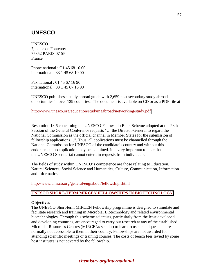## **UNESCO**

UNESCO 7, place de Fontenoy 75352 PARIS 07 SP France

Phone national : O1 45 68 10 00 international : 33 1 45 68 10 00

Fax national : 01 45 67 16 90 international : 33 1 45 67 16 90

UNESCO publishes a study abroad guide with 2,659 post secondary study abroad opportunities in over 129 countries. The document is available on CD or as a PDF file at

<http://www.unesco.org/education/studyingabroad/networking/study.pdf>

Resolution 13.6 concerning the UNESCO Fellowship Bank Scheme adopted at the 28th Session of the General Conference requests "… the Director-General to regard the National Commission as the official channel in Member States for the submission of fellowship applications…". Thus, all applications must be channelled through the National Commission for UNESCO of the candidate's country and without this endorsement no application may be examined. It is very important to note that the UNESCO Secretariat cannot entertain requests from individuals.

The fields of study within UNESCO's competence are those relating to Education, Natural Sciences, Social Science and Humanities, Culture, Communication, Information and Informatics.

<http://www.unesco.org/general/eng/about/fellowship.shtml>

### **[UNESCO SHORT-TERM MIRCEN FELLOWSHIPS IN BIOTECHNOLOGY](http://www.unesco.org/science/life/mircen_fellowship.html)**

#### **Objectives**

The UNESCO Short-term MIRCEN Fellowship programme is designed to stimulate and facilitate research and training in Microbial Biotechnology and related environmental biotechnologies. Through this scheme scientists, particularly from the least developed and developing countries, are encouraged to carry out research at any of the established Microbial Resources Centres (MIRCENs see list) to learn to use techniques that are normally not accessible to them in their country. Fellowships are not awarded for attending scientific meetings or training courses. The costs of bench fees levied by some host institutes is not covered by the fellowship.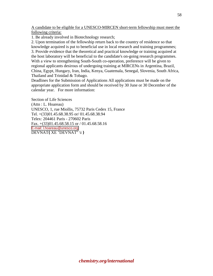A candidate to be eligible for a UNESCO-MIRCEN short-term fellowship must meet the following criteria:

1. Be already involved in Biotechnology research;

2. Upon termination of the fellowship return back to the country of residence so that knowledge acquired is put to beneficial use in local research and training programmes; 3. Provide evidence that the theoretical and practical knowledge or training acquired at the host laboratory will be beneficial to the candidate's on-going research programmes. With a view to strengthening South-South co-operation, preference will be given to regional applicants desirous of undergoing training at MIRCENs in Argentina, Brazil, China, Egypt, Hungary, Iran, India, Kenya, Guatemala, Senegal, Slovenia, South Africa, Thailand and Trinidad & Tobago.

Deadlines for the Submission of Applications All applications must be made on the appropriate application form and should be received by 30 June or 30 December of the calendar year. For more information:

Section of Life Sciences (Attn : L. Hoareau) UNESCO, 1, rue Miollis, 75732 Paris Cedex 15, France Tel. +(33)01.45.68.38.95 or/ 01.45.68.38.94 Telex: 204461 Paris - 270602 Paris Fax. +(33)01.45.68.58.15 or / 01.45.68.58.16 [E-mail: l.hoareau@unesco.org](mailto:l.hoareau@unesco.org) DEVNAT**{** XE "DEVNAT" \i **}**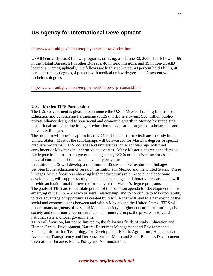### **US Agency for International Development**

#### <http://www.usaid.gov/about/employment/fellows/index.html>

USAID currently has 8 fellows programs, utilizing, as of June 30, 2000, 145 fellows -- 65 in the Global Bureau, 21 in other Bureaus, 40 in field missions, and 19 in non-USAID locations. Demographically, the fellows are highly educated, 48 percent hold Ph.D.s, 46 percent master's degrees, 4 percent with medical or law degrees, and 2 percent with bachelor's degrees.

[http://www.usaid.gov/about/employment/fellows/fp\\_contact.html](http://www.usaid.gov/about/employment/fellows/fp_contact.html) 

#### **U.S. – Mexico TIES Partnership**

The U.S. Government is pleased to announce the U.S. – Mexico Training Internships, Education and Scholarship Partnership (TIES). TIES is a 6-year, \$50 million publicprivate alliance designed to spur social and economic growth in Mexico by supporting institutional strengthening in higher education via education programs, scholarships and university linkages.

The program will provide approximately 750 scholarships for Mexicans to study in the United States. Most of the scholarships will be awarded for Master's degrees or special graduate programs in U.S. colleges and universities; other scholarships will fund enrollment of Mexicans in undergraduate courses. Many Master's degree candidates will participate in internships in government agencies, NGOs or the private sector as an integral component of their academic study programs.

In addition, TIES will develop a minimum of 35 sustainable institutional linkages between higher education or research institutions in Mexico and the United States. These linkages, with a focus on enhancing higher education's role in social and economic development, will support faculty and student exchange, collaborative research, and will provide an institutional framework for many of the Master's degree programs.

The goals of TIES are to facilitate pursuit of the common agenda for development that is emerging in the U.S. – Mexico bilateral relationship, and to contribute to Mexico's ability to take advantage of opportunities created by NAFTA that will lead to a narrowing of the social and economic gaps between and within Mexico and the United States. TIES will benefit many segments of U.S. and Mexican society – higher education institutions, civil society and other non-governmental and community groups, the private sector, and national, state and local governments.

TIES will focus on, but not be limited to, the following fields of study: Education and Human Capital Development, Natural Resources Management and Environmental Science, Information Technology for Development, Health, Agriculture, Humanitarian Assistance, Transparency and Decentralization, Micro and Small Business Development, International Finance, Public Policy and Administration.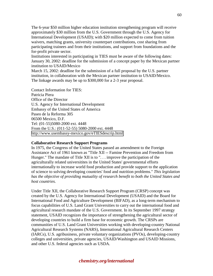The 6-year \$50 million higher education institution strengthening program will receive approximately \$30 million from the U.S. Government through the U.S. Agency for International Development (USAID); with \$20 million expected to come from tuition waivers, matching grants, university counterpart contributions, cost sharing from participating trainees and from their institutions, and support from foundations and the for-profit private sector.

Institutions interested in participating in TIES must be aware of the following dates: January 30, 2002: deadline for the submission of a concept paper by the Mexican partner institution to USAID/Mexico

March 15, 2002: deadline for the submission of a full proposal by the U.S. partner institution, in collaboration with the Mexican partner institution to USAID/Mexico. The linkage awards may be up to \$300,000 for a 2-3 year proposal.

Contact Information for TIES: Patricia Piera Office of the Director U.S. Agency for International Development Embassy of the United States of America Paseo de la Reforma 305 06500 Mexico, D.F. Tel: (01-55)5080-2000 ext. 4448 From the U.S.: (011-52-55) 5080-2000 ext. 4448 <http://www.usembassy-mexico.gov/eTIESdescrip.html>

#### **Collaborative Research Support Programs**

In 1975, the Congress of the United States passed an amendment to the Foreign Assistance Act of 1961 known as "Title XII -- Famine Prevention and Freedom from Hunger." The mandate of Title XII is to ". . . improve the participation of the agriculturally related universitites in the United States' governmental efforts internationally to increase world food production and provide support to the application of science to solving developing countries' food and nutrition problems." *This legislation has the objective of providing mutuality of research benefit to both the United States and host countries.*

Under Title XII, the Collaborative Research Support Program (CRSP) concept was created by the U.S. Agency for International Development (USAID) and the Board for International Food and Agriculture Development (BIFAD), as a long-term mechanism to focus capabilities of U.S. Land Grant Universities to carry out the international food and agricultural research mandate of the U.S. Government. In its September 1997 strategy statement, USAID recognizes the importance of strengthening the agricultural sector of developing countries to build a firm base for economic growth. The CRSPs are communities of U.S. Land Grant Universities working with developing-country National Agricultural Research Systems (NARS), International Agricultural Research Centers (IARCs), U.S. agribusiness, private voluntary organizations (PVOs), developing-country colleges and universities, private agencies, USAID/Washington and USAID Missions, and other U.S. federal agencies such as USDA.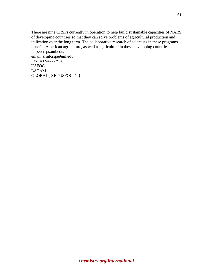There are nine CRSPs currently in operation to help build sustainable capacities of NARS of developing countries so that they can solve problems of agricultural production and utilization over the long term. The collaborative research of scientists in these programs benefits American agriculture, as well as agriculture in these developing countries. http://crsps.unl.edu/ email: srmlcrsp@unl.edu Fax: 402-472-7978 USFOC LATAM

GLOBAL**{** XE "USFOC" \i **}**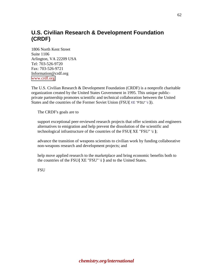# **U.S. Civilian Research & Development Foundation (CRDF)**

1806 North Kent Street Suite 1106 Arlington, VA 22209 USA Tel: 703-526-9720 Fax: 703-526-9721 Information@crdf.org [www.crdf.org](www.crdf.org
) 

The U.S. Civilian Research & Development Foundation (CRDF) is a nonprofit charitable organization created by the United States Government in 1995. This unique publicprivate partnership promotes scientific and technical collaboration between the United States and the countries of the Former Soviet Union (FSU**{** XE "FSU" \i **}**).

The CRDF's goals are to

support exceptional peer-reviewed research projects that offer scientists and engineers alternatives to emigration and help prevent the dissolution of the scientific and technological infrastructure of the countries of the FSU**{** XE "FSU" \i **}**;

advance the transition of weapons scientists to civilian work by funding collaborative non-weapons research and development projects; and

help move applied research to the marketplace and bring economic benefits both to the countries of the FSU**{** XE "FSU" \i **}** and to the United States.

FSU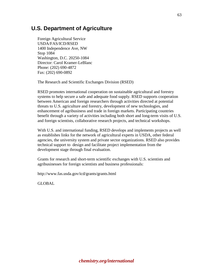### **U.S. Department of Agriculture**

Foreign Agricultural Service USDA/FAS/ICD/RSED 1400 Independence Ave, NW Stop 1084 Washington, D.C. 20250-1084 Director: Carol Kramer-LeBlanc Phone: (202) 690-4872 Fax: (202) 690-0892

The Research and Scientific Exchanges Division (RSED)

RSED promotes international cooperation on sustainable agricultural and forestry systems to help secure a safe and adequate food supply. RSED supports cooperation between American and foreign researchers through activities directed at potential threats to U.S. agriculture and forestry, development of new technologies, and enhancement of agribusiness and trade in foreign markets. Participating countries benefit through a variety of activities including both short and long-term visits of U.S. and foreign scientists, collaborative research projects, and technical workshops.

With U.S. and international funding, RSED develops and implements projects as well as establishes links for the network of agricultural experts in USDA, other federal agencies, the university system and private sector organizations. RSED also provides technical support to design and facilitate project implementation from the development stage through final evaluation.

Grants for research and short-term scientific exchanges with U.S. scientists and agribusinesses for foreign scientists and business professionals:

http://www.fas.usda.gov/icd/grants/grants.html

GLOBAL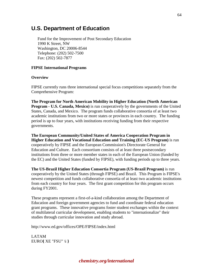### **U.S. Department of Education**

Fund for the Improvement of Post Secondary Education 1990 K Street, NW Washington, DC 20006-8544 Telephone: (202) 502-7500 Fax: (202) 502-7877

### **FIPSE International Programs**

#### **Overview**

FIPSE currently runs three international special focus competitions separately from the Comprehensive Program:

**The Program for North American Mobility in Higher Education (North American Program - U.S. Canada, Mexico)** is run cooperatively by the governments of the United States, Canada, and Mexico. The program funds collaborative consortia of at least two academic institutions from two or more states or provinces in each country. The funding period is up to four years, with institutions receiving funding from their respective governments.

**The European Community/United States of America Cooperation Program in Higher Education and Vocational Education and Training (EC-US Program)** is run cooperatively by FIPSE and the European Commission's Directorate General for Education and Culture. Each consortium consists of at least three postsecondary institutions from three or more member states in each of the European Union (funded by the EC) and the United States (funded by FIPSE), with funding periods up to three years.

**The US-Brazil Higher Education Consortia Program (US-Brazil Program)** is run cooperatively by the United States (through FIPSE) and Brazil. This Program is FIPSE's newest competition and funds collaborative consortia of at least two academic institutions from each country for four years. The first grant competition for this program occurs during FY2001.

These programs represent a first-of-a-kind collaboration among the Department of Education and foreign government agencies to fund and coordinate federal education grant programs. These innovative programs foster student exchanges within the context of multilateral curricular development, enabling students to "internationalize" their studies through curricular innovation and study abroad.

http://www.ed.gov/offices/OPE/FIPSE/index.html

LATAM EURO**{** XE "FSU" \i **}**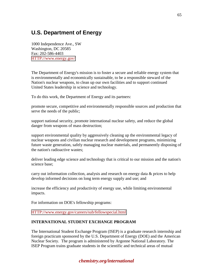# **U.S. Department of Energy**

1000 Independence Ave., SW Washington, DC 20585 Fax: 202-586-4403 [HTTP://www.energy.gov/](http://www.energy.gov/) 

The Department of Energy's mission is to foster a secure and reliable energy system that is environmentally and economically sustainable, to be a responsible steward of the Nation's nuclear weapons, to clean up our own facilities and to support continued United States leadership in science and technology.

To do this work, the Department of Energy and its partners:

promote secure, competitive and environmentally responsible sources and production that serve the needs of the public;

support national security, promote international nuclear safety, and reduce the global danger from weapons of mass destruction;

support environmental quality by aggressively cleaning up the environmental legacy of nuclear weapons and civilian nuclear research and development programs, minimizing future waste generation, safely managing nuclear materials, and permanently disposing of the nation's radioactive wastes;

deliver leading edge science and technology that is critical to our mission and the nation's science base;

carry out information collection, analysis and research on energy data  $\&$  prices to help develop informed decisions on long term energy supply and use; and

increase the efficiency and productivity of energy use, while limiting environmental impacts.

For information on DOE's fellowship programs:

#### [HTTP://www.energy.gov/careers/sub/fellowspecial.html](http://www.energy.gov/careers/sub/fellowspecial.html)

### **INTERNATIONAL STUDENT EXCHANGE PROGRAM**

The International Student Exchange Program (ISEP) is a graduate research internship and foreign practicum sponsored by the U.S. Department of Energy (DOE) and the American Nuclear Society. The program is administered by Argonne National Laboratory. The ISEP Program trains graduate students in the scientific and technical areas of mutual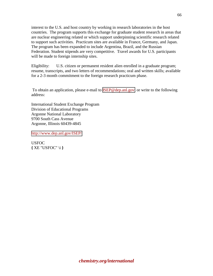interest to the U.S. and host country by working in research laboratories in the host countries. The program supports this exchange for graduate student research in areas that are nuclear engineering related or which support underpinning scientific research related to support such activities. Practicum sites are available in France, Germany, and Japan. The program has been expanded to include Argentina, Brazil, and the Russian Federation. Student stipends are very competitive. Travel awards for U.S. participants will be made to foreign internship sites.

Eligibility: U.S. citizen or permanent resident alien enrolled in a graduate program; resume, transcripts, and two letters of recommendations; oral and written skills; available for a 2-3 month commitment to the foreign research practicum phase.

 To obtain an application, please e-mail to [ISEP@dep.anl.gov;](mailto:ISEP@dep.anl.gov) or write to the following address:

International Student Exchange Program Division of Educational Programs Argonne National Laboratory 9700 South Cass Avenue Argonne, Illinois 60439-4845

<http://www.dep.anl.gov/ISEP/>

**USFOC {** XE "USFOC" \i **}**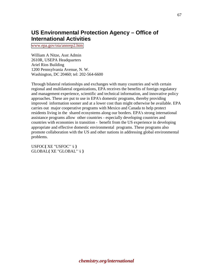## **US Environmental Protection Agency – Office of International Activities**

[www.epa.gov/oia/annrep2.htm](www.epa.gov\oia\annrep2.htm
) 

William A Nitze, Asst Admin 2610R, USEPA Headquarters Ariel Rios Building 1200 Pennsylvania Avenue, N. W. Washington, DC 20460; tel: 202-564-6600

Through bilateral relationships and exchanges with many countries and with certain regional and multilateral organizations, EPA receives the benefits of foreign regulatory and management experience, scientific and technical information, and innovative policy approaches. These are put to use in EPA's domestic programs, thereby providing improved information sooner and at a lower cost than might otherwise be available. EPA carries out major cooperative programs with Mexico and Canada to help protect residents living in the shared ecosystems along our borders. EPA's strong international assistance programs allow other countries - especially developing countries and countries with economies in transition - benefit from the US experience in developing appropriate and effective domestic environmental programs. These programs also promote collaboration with the US and other nations in addressing global environmental problems.

USFOC**{** XE "USFOC" \i **}** GLOBAL**{** XE "GLOBAL" \i **}**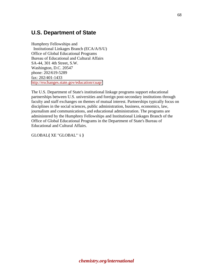## **U.S. Department of State**

Humphrey Fellowships and Institutional Linkages Branch (ECA/A/S/U) Office of Global Educational Programs Bureau of Educational and Cultural Affairs SA-44, 301 4th Street, S.W. Washington, D.C. 20547 phone: 202/619-5289 fax: 202/401-1433 <http://exchanges.state.gov/education/cuap/>

The U.S. Department of State's institutional linkage programs support educational partnerships between U.S. universities and foreign post-secondary institutions through faculty and staff exchanges on themes of mutual interest. Partnerships typically focus on disciplines in the social sciences, public administration, business, economics, law, journalism and communications, and educational administration. The programs are administered by the Humphrey Fellowships and Institutional Linkages Branch of the Office of Global Educational Programs in the Department of State's Bureau of Educational and Cultural Affairs.

GLOBAL**{** XE "GLOBAL" \i **}**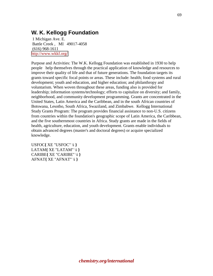## **W. K. Kellogg Foundation**

 1 Michigan Ave. E. Battle Creek , MI 49017-4058 (616) 968-1611 <http://www.wkkf.org/>

Purpose and Activities: The W.K. Kellogg Foundation was established in 1930 to help people help themselves through the practical application of knowledge and resources to improve their quality of life and that of future generations. The foundation targets its grants toward specific focal points or areas. These include: health; food systems and rural development; youth and education, and higher education; and philanthropy and voluntarism. When woven throughout these areas, funding also is provided for leadership; information systems/technology; efforts to capitalize on diversity; and family, neighborhood, and community development programming. Grants are concentrated in the United States, Latin America and the Caribbean, and in the south African countries of Botswana, Lesotho, South Africa, Swaziland, and Zimbabwe. Kellogg International Study Grants Program: The program provides financial assistance to non-U.S. citizens from countries within the foundation's geographic scope of Latin America, the Caribbean, and the five southernmost countries in Africa. Study grants are made in the fields of health, agriculture, education, and youth development. Grants enable individuals to obtain advanced degrees (master's and doctoral degrees) or acquire specialized knowledge.

USFOC**{** XE "USFOC" \i **}** LATAM**{** XE "LATAM" \i **}** CARIBE**{** XE "CARIBE" \i **}** AFNAT**{** XE "AFNAT" \i **}**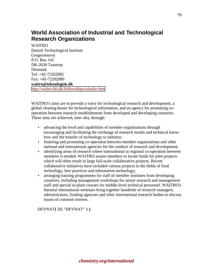## **World Association of Industrial and Technological Research Organizations**

WAITRO Danish Technological Institute Gregersensvej P.O. Box 141 DK-2630 Taastrup Denmark Tel: +45-72202085  $Fax: +45-72202080$ **waitro@teknologisk.dk**  <http://waitro.dti.dk/Fellowships/scholar.htm>

WAITRO's aims are to provide a voice for technological research and development, a global clearing-house for technological information, and an agency for promoting cooperation between research establishments from developed and developing countries. These aims are achieved, inter alia, through:

- advancing the level and capabilities of member organizations through encouraging and facilitating the exchange of research results and technical knowhow and the transfer of technology to industry;
- fostering and promoting co-operation between member organizations and other national and international agencies for the conduct of research and development;
- identifying areas of research where international or regional co-operation between members is needed. WAITRO assists members to locate funds for pilot projects which will often result in large full-scale collaborative projects. Recent collaborative initiatives have included various projects in the fields of food technology, best practices and information technology;
- arranging training programmes for staff of member institutes from developing countries, including management workshops for senior research and management staff and special in-plant courses for middle-level technical personnel. WAITRO's biennial international seminars bring together hundreds of research managers, administrators, funding agencies and other international research bodies to discuss issues of common interest.

DEVNAT**{** XE "DEVNAT" \i **}**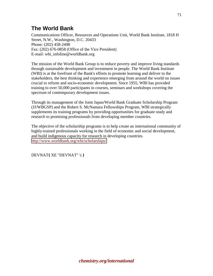# **The World Bank**

Communications Officer, Resources and Operations Unit, World Bank Institute, 1818 H Street, N.W., Washington, D.C. 20433 Phone: (202) 458-2498 Fax: (202) 676-0858 (Office of the Vice President) E-mail: wbi\_infoline@worldbank.org

The mission of the World Bank Group is to reduce poverty and improve living standards through sustainable development and investment in people. The World Bank Institute (WBI) is at the forefront of the Bank's efforts to promote learning and deliver to the stakeholders, the best thinking and experience emerging from around the world on issues crucial to reform and socio-economic development. Since 1955, WBI has provided training to over 50,000 participants in courses, seminars and workshops covering the spectrum of contemporary development issues.

Through its management of the Joint Japan/World Bank Graduate Scholarship Program (JJ/WBGSP) and the Robert S. McNamara Fellowships Program, WBI strategically supplements its training programs by providing opportunities for graduate study and research to promising professionals from developing member countries.

The objective of the scholarship programs is to help create an international community of highly-trained professionals working in the field of economic and social development, and build indigenous capacity for research in developing countries. <http://www.worldbank.org/wbi/scholarships/>

DEVNAT**{** XE "DEVNAT" \i **}**